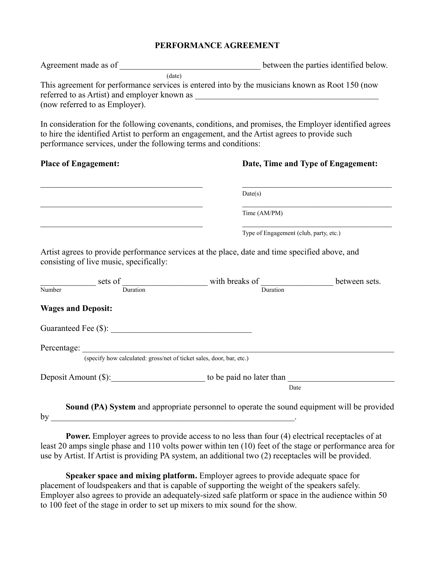## **PERFORMANCE AGREEMENT**

| Agreement made as of                                                           | between the parties identified below.                                                           |
|--------------------------------------------------------------------------------|-------------------------------------------------------------------------------------------------|
| (date)                                                                         |                                                                                                 |
| referred to as Artist) and employer known as<br>(now referred to as Employer). | This agreement for performance services is entered into by the musicians known as Root 150 (now |

In consideration for the following covenants, conditions, and promises, the Employer identified agrees to hire the identified Artist to perform an engagement, and the Artist agrees to provide such performance services, under the following terms and conditions:

## **Place of Engagement: Date, Time and Type of Engagement:**

| Date(s)                                |
|----------------------------------------|
| Time (AM/PM)                           |
| Type of Engagement (club, party, etc.) |

Artist agrees to provide performance services at the place, date and time specified above, and consisting of live music, specifically:

|                           | sets of                                                              | with breaks of                                                                                     | between sets. |
|---------------------------|----------------------------------------------------------------------|----------------------------------------------------------------------------------------------------|---------------|
| Number                    | Duration                                                             | Duration                                                                                           |               |
| <b>Wages and Deposit:</b> |                                                                      |                                                                                                    |               |
|                           | Guaranteed Fee (\$):                                                 |                                                                                                    |               |
|                           | Percentage:                                                          |                                                                                                    |               |
|                           | (specify how calculated: gross/net of ticket sales, door, bar, etc.) |                                                                                                    |               |
| Deposit Amount (\$):      | to be paid no later than                                             |                                                                                                    |               |
|                           | Date                                                                 |                                                                                                    |               |
|                           |                                                                      | <b>Sound (PA) System</b> and appropriate personnel to operate the sound equipment will be provided |               |

by \_\_\_\_\_\_\_\_\_\_\_\_\_\_\_\_\_\_\_\_\_\_\_\_\_\_\_\_\_\_\_\_\_\_\_\_\_\_\_\_\_\_\_\_\_\_\_\_\_\_\_\_\_\_\_\_\_.

**Power.** Employer agrees to provide access to no less than four (4) electrical receptacles of at least 20 amps single phase and 110 volts power within ten (10) feet of the stage or performance area for use by Artist. If Artist is providing PA system, an additional two (2) receptacles will be provided.

**Speaker space and mixing platform.** Employer agrees to provide adequate space for placement of loudspeakers and that is capable of supporting the weight of the speakers safely. Employer also agrees to provide an adequately-sized safe platform or space in the audience within 50 to 100 feet of the stage in order to set up mixers to mix sound for the show.